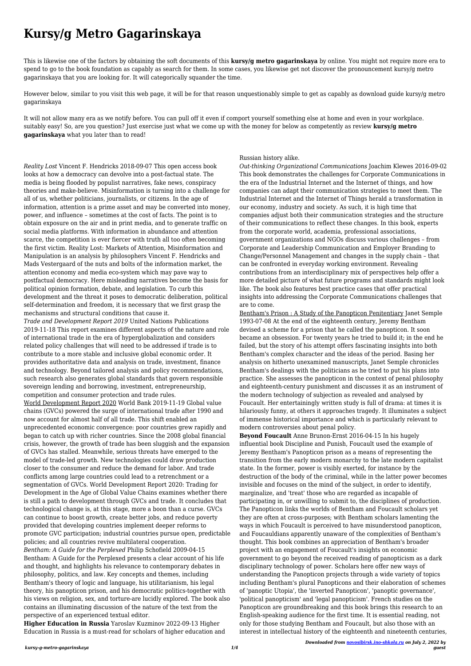## **Kursy/g Metro Gagarinskaya**

This is likewise one of the factors by obtaining the soft documents of this **kursy/g metro gagarinskaya** by online. You might not require more era to spend to go to the book foundation as capably as search for them. In some cases, you likewise get not discover the pronouncement kursy/g metro gagarinskaya that you are looking for. It will categorically squander the time.

However below, similar to you visit this web page, it will be for that reason unquestionably simple to get as capably as download guide kursy/g metro gagarinskaya

It will not allow many era as we notify before. You can pull off it even if comport yourself something else at home and even in your workplace. suitably easy! So, are you question? Just exercise just what we come up with the money for below as competently as review **kursy/g metro gagarinskaya** what you later than to read!

*Reality Lost* Vincent F. Hendricks 2018-09-07 This open access book looks at how a democracy can devolve into a post-factual state. The media is being flooded by populist narratives, fake news, conspiracy theories and make-believe. Misinformation is turning into a challenge for all of us, whether politicians, journalists, or citizens. In the age of information, attention is a prime asset and may be converted into money, power, and influence – sometimes at the cost of facts. The point is to obtain exposure on the air and in print media, and to generate traffic on social media platforms. With information in abundance and attention scarce, the competition is ever fiercer with truth all too often becoming the first victim. Reality Lost: Markets of Attention, Misinformation and Manipulation is an analysis by philosophers Vincent F. Hendricks and Mads Vestergaard of the nuts and bolts of the information market, the attention economy and media eco-system which may pave way to postfactual democracy. Here misleading narratives become the basis for political opinion formation, debate, and legislation. To curb this development and the threat it poses to democratic deliberation, political self-determination and freedom, it is necessary that we first grasp the mechanisms and structural conditions that cause it.

*Trade and Development Report 2019* United Nations Publications 2019-11-18 This report examines different aspects of the nature and role of international trade in the era of hyperglobalization and considers related policy challenges that will need to be addressed if trade is to contribute to a more stable and inclusive global economic order. It provides authoritative data and analysis on trade, investment, finance and technology. Beyond tailored analysis and policy recommendations, such research also generates global standards that govern responsible sovereign lending and borrowing, investment, entrepreneurship, competition and consumer protection and trade rules.

World Development Report 2020 World Bank 2019-11-19 Global value chains (GVCs) powered the surge of international trade after 1990 and now account for almost half of all trade. This shift enabled an unprecedented economic convergence: poor countries grew rapidly and began to catch up with richer countries. Since the 2008 global financial crisis, however, the growth of trade has been sluggish and the expansion of GVCs has stalled. Meanwhile, serious threats have emerged to the model of trade-led growth. New technologies could draw production closer to the consumer and reduce the demand for labor. And trade conflicts among large countries could lead to a retrenchment or a segmentation of GVCs. World Development Report 2020: Trading for Development in the Age of Global Value Chains examines whether there is still a path to development through GVCs and trade. It concludes that technological change is, at this stage, more a boon than a curse. GVCs can continue to boost growth, create better jobs, and reduce poverty provided that developing countries implement deeper reforms to promote GVC participation; industrial countries pursue open, predictable policies; and all countries revive multilateral cooperation. *Bentham: A Guide for the Perplexed* Philip Schofield 2009-04-15 Bentham: A Guide for the Perplexed presents a clear account of his life and thought, and highlights his relevance to contemporary debates in philosophy, politics, and law. Key concepts and themes, including Bentham's theory of logic and language, his utilitarianism, his legal theory, his panopticon prison, and his democratic politics-together with his views on religion, sex, and torture-are lucidly explored. The book also contains an illuminating discussion of the nature of the text from the perspective of an experienced textual editor.

**Higher Education in Russia** Yaroslav Kuzminov 2022-09-13 Higher Education in Russia is a must-read for scholars of higher education and

## Russian history alike.

*Out-thinking Organizational Communications* Joachim Klewes 2016-09-02 This book demonstrates the challenges for Corporate Communications in the era of the Industrial Internet and the Internet of things, and how companies can adapt their communication strategies to meet them. The Industrial Internet and the Internet of Things herald a transformation in our economy, industry and society. As such, it is high time that companies adjust both their communication strategies and the structure of their communications to reflect these changes. In this book, experts from the corporate world, academia, professional associations, government organizations and NGOs discuss various challenges – from Corporate and Leadership Communication and Employer Branding to Change/Personnel Management and changes in the supply chain – that can be confronted in everyday working environment. Revealing contributions from an interdisciplinary mix of perspectives help offer a more detailed picture of what future programs and standards might look like. The book also features best practice cases that offer practical insights into addressing the Corporate Communications challenges that are to come.

Bentham's Prison : A Study of the Panopticon Penitentiary Janet Semple 1993-07-08 At the end of the eighteenth century, Jeremy Bentham devised a scheme for a prison that he called the panopticon. It soon became an obsession. For twenty years he tried to build it; in the end he failed, but the story of his attempt offers fascinating insights into both Bentham's complex character and the ideas of the period. Basing her analysis on hitherto unexamined manuscripts, Janet Semple chronicles Bentham's dealings with the politicians as he tried to put his plans into practice. She assesses the panopticon in the context of penal philosophy and eighteenth-century punishment and discusses it as an instrument of the modern technology of subjection as revealed and analysed by Foucault. Her entertainingly written study is full of drama: at times it is hilariously funny, at others it approaches tragedy. It illuminates a subject of immense historical importance and which is particularly relevant to modern controversies about penal policy.

**Beyond Foucault** Anne Brunon-Ernst 2016-04-15 In his hugely influential book Discipline and Punish, Foucault used the example of Jeremy Bentham's Panopticon prison as a means of representing the transition from the early modern monarchy to the late modern capitalist state. In the former, power is visibly exerted, for instance by the destruction of the body of the criminal, while in the latter power becomes invisible and focuses on the mind of the subject, in order to identify, marginalize, and 'treat' those who are regarded as incapable of participating in, or unwilling to submit to, the disciplines of production. The Panopticon links the worlds of Bentham and Foucault scholars yet they are often at cross-purposes; with Bentham scholars lamenting the ways in which Foucault is perceived to have misunderstood panopticon, and Foucauldians apparently unaware of the complexities of Bentham's thought. This book combines an appreciation of Bentham's broader project with an engagement of Foucault's insights on economic government to go beyond the received reading of panopticism as a dark disciplinary technology of power. Scholars here offer new ways of understanding the Panopticon projects through a wide variety of topics including Bentham's plural Panopticons and their elaboration of schemes of 'panoptic Utopia', the 'inverted Panopticon', 'panoptic governance', 'political panopticism' and 'legal panopticism'. French studies on the Panopticon are groundbreaking and this book brings this research to an English-speaking audience for the first time. It is essential reading, not only for those studying Bentham and Foucault, but also those with an interest in intellectual history of the eighteenth and nineteenth centuries,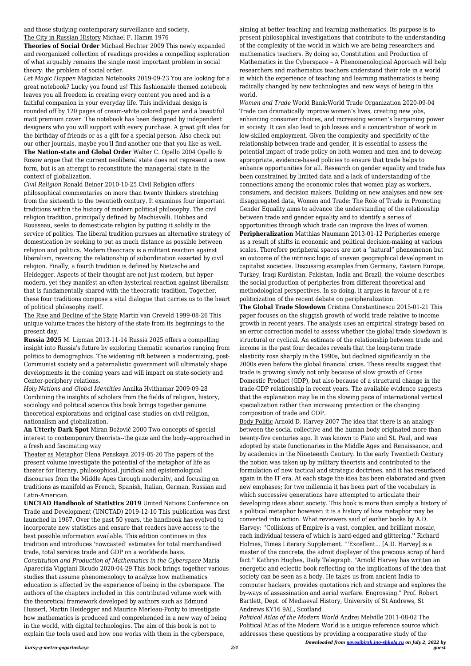*Downloaded from [novosibirsk.ino-shkola.ru](http://novosibirsk.ino-shkola.ru) on July 2, 2022 by guest*

and those studying contemporary surveillance and society. The City in Russian History Michael F. Hamm 1976

**Theories of Social Order** Michael Hechter 2009 This newly expanded and reorganized collection of readings provides a compelling exploration of what arguably remains the single most important problem in social theory: the problem of social order.

*Let Magic Happen* Magician Notebooks 2019-09-23 You are looking for a great notebook? Lucky you found us! This fashionable themed notebook leaves you all freedom in creating every content you need and is a faithful companion in your everyday life. This individual design is rounded off by 120 pages of cream-white colored paper and a beautiful matt premium cover. The notebook has been designed by independent designers who you will support with every purchase. A great gift idea for the birthday of friends or as a gift for a special person. Also check out our other journals, maybe you'll find another one that you like as well. **The Nation-state and Global Order** Walter C. Opello 2004 Opello &

Rosow argue that the current neoliberal state does not represent a new form, but is an attempt to reconstitute the managerial state in the context of globalization.

*Civil Religion* Ronald Beiner 2010-10-25 Civil Religion offers philosophical commentaries on more than twenty thinkers stretching from the sixteenth to the twentieth century. It examines four important traditions within the history of modern political philosophy. The civil religion tradition, principally defined by Machiavelli, Hobbes and Rousseau, seeks to domesticate religion by putting it solidly in the service of politics. The liberal tradition pursues an alternative strategy of domestication by seeking to put as much distance as possible between religion and politics. Modern theocracy is a militant reaction against liberalism, reversing the relationship of subordination asserted by civil religion. Finally, a fourth tradition is defined by Nietzsche and Heidegger. Aspects of their thought are not just modern, but hypermodern, yet they manifest an often-hysterical reaction against liberalism that is fundamentally shared with the theocratic tradition. Together, these four traditions compose a vital dialogue that carries us to the heart of political philosophy itself.

The Rise and Decline of the State Martin van Creveld 1999-08-26 This unique volume traces the history of the state from its beginnings to the present day.

**Russia 2025** M. Lipman 2013-11-14 Russia 2025 offers a compelling insight into Russia's future by exploring thematic scenarios ranging from politics to demographics. The widening rift between a modernizing, post-Communist society and a paternalistic government will ultimately shape developments in the coming years and will impact on state-society and Center-periphery relations.

*Holy Nations and Global Identities* Annika Hvithamar 2009-09-28 Combining the insights of scholars from the fields of religion, history, sociology and political science this book brings together genuine theoretical explorations and original case studies on civil religion, nationalism and globalization.

**An Utterly Dark Spot** Miran Božovič 2000 Two concepts of special interest to contemporary theorists--the gaze and the body--approached in a fresh and fascinating way

Theater as Metaphor Elena Penskaya 2019-05-20 The papers of the present volume investigate the potential of the metaphor of life as theater for literary, philosophical, juridical and epistemological discourses from the Middle Ages through modernity, and focusing on traditions as manifold as French, Spanish, Italian, German, Russian and Latin-American.

**UNCTAD Handbook of Statistics 2019** United Nations Conference on

Trade and Development (UNCTAD) 2019-12-10 This publication was first launched in 1967. Over the past 50 years, the handbook has evolved to incorporate new statistics and ensure that readers have access to the best possible information available. This edition continues in this tradition and introduces 'nowcasted' estimates for total merchandised trade, total services trade and GDP on a worldwide basis.

*Constitution and Production of Mathematics in the Cyberspace* Maria Aparecida Viggiani Bicudo 2020-04-29 This book brings together various studies that assume phenomenology to analyze how mathematics education is affected by the experience of being in the cyberspace. The authors of the chapters included in this contributed volume work with the theoretical framework developed by authors such as Edmund Husserl, Martin Heidegger and Maurice Merleau-Ponty to investigate how mathematics is produced and comprehended in a new way of being in the world, with digital technologies. The aim of this book is not to explain the tools used and how one works with them in the cyberspace,

aiming at better teaching and learning mathematics. Its purpose is to present philosophical investigations that contribute to the understanding of the complexity of the world in which we are being researchers and mathematics teachers. By doing so, Constitution and Production of Mathematics in the Cyberspace – A Phenomenological Approach will help researchers and mathematics teachers understand their role in a world in which the experience of teaching and learning mathematics is being radically changed by new technologies and new ways of being in this world.

*Women and Trade* World Bank;World Trade Organization 2020-09-04 Trade can dramatically improve women's lives, creating new jobs, enhancing consumer choices, and increasing women's bargaining power in society. It can also lead to job losses and a concentration of work in low-skilled employment. Given the complexity and specificity of the relationship between trade and gender, it is essential to assess the potential impact of trade policy on both women and men and to develop appropriate, evidence-based policies to ensure that trade helps to enhance opportunities for all. Research on gender equality and trade has been constrained by limited data and a lack of understanding of the connections among the economic roles that women play as workers, consumers, and decision makers. Building on new analyses and new sexdisaggregated data, Women and Trade: The Role of Trade in Promoting Gender Equality aims to advance the understanding of the relationship between trade and gender equality and to identify a series of opportunities through which trade can improve the lives of women.

**Peripheralization** Matthias Naumann 2013-01-12 Peripheries emerge as a result of shifts in economic and political decision-making at various scales. Therefore peripheral spaces are not a "natural" phenomenon but an outcome of the intrinsic logic of uneven geographical development in capitalist societies. Discussing examples from Germany, Eastern Europe, Turkey, Iraqi Kurdistan, Pakistan, India and Brazil, the volume describes the social production of peripheries from different theoretical and methodological perspectives. In so doing, it argues in favour of a repoliticization of the recent debate on peripheralization.

**The Global Trade Slowdown** Cristina Constantinescu 2015-01-21 This paper focuses on the sluggish growth of world trade relative to income growth in recent years. The analysis uses an empirical strategy based on an error correction model to assess whether the global trade slowdown is structural or cyclical. An estimate of the relationship between trade and income in the past four decades reveals that the long-term trade elasticity rose sharply in the 1990s, but declined significantly in the 2000s even before the global financial crisis. These results suggest that trade is growing slowly not only because of slow growth of Gross Domestic Product (GDP), but also because of a structural change in the trade-GDP relationship in recent years. The available evidence suggests that the explanation may lie in the slowing pace of international vertical specialization rather than increasing protection or the changing composition of trade and GDP.

Body Politic Arnold D. Harvey 2007 The idea that there is an analogy between the social collective and the human body originated more than twenty-five centuries ago. It was known to Plato and St. Paul, and was adopted by state functionaries in the Middle Ages and Renaissance, and by academics in the Nineteenth Century. In the early Twentieth Century the notion was taken up by military theorists and contributed to the formulation of new tactical and strategic doctrines, and it has resurfaced again in the IT era. At each stage the idea has been elaborated and given new emphases; for two millennia it has been part of the vocabulary in which successive generations have attempted to articulate their developing ideas about society. This book is more than simply a history of a political metaphor however: it is a history of how metaphor may be converted into action. What reviewers said of earlier books by A.D. Harvey: ''Collisions of Empire is a vast, complex, and brilliant mosaic, each individual tessera of which is hard-edged and glittering.'' Richard Holmes, Times Literary Supplement. '''Excellent... [A.D. Harvey] is a master of the concrete, the adroit displayer of the precious scrap of hard fact.'' Kathryn Hughes, Daily Telegraph. "Arnold Harvey has written an energetic and eclectic book reflecting on the implications of the idea that society can be seen as a body. He takes us from ancient India to computer hackers, provides quotations rich and strange and explores the by-ways of assassination and aerial warfare. Engrossing." Prof. Robert Bartlett, Dept. of Mediaeval History, University of St Andrews, St Andrews KY16 9AL, Scotland *Political Atlas of the Modern World* Andrei Melville 2011-08-02 The Political Atlas of the Modern World is a unique reference source which

addresses these questions by providing a comparative study of the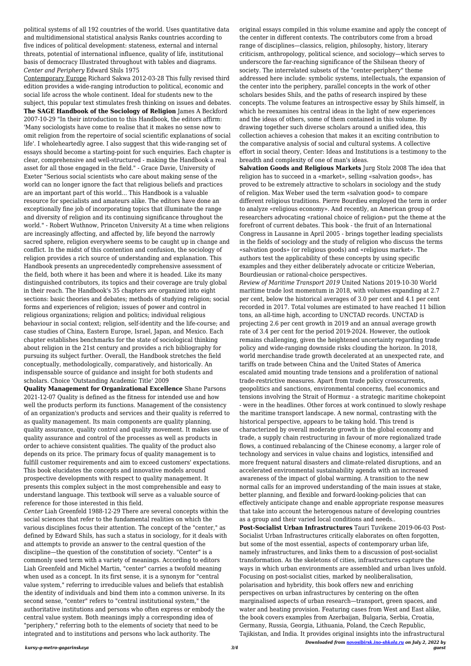*Downloaded from [novosibirsk.ino-shkola.ru](http://novosibirsk.ino-shkola.ru) on July 2, 2022 by guest*

political systems of all 192 countries of the world. Uses quantitative data and multidimensional statistical analysis Ranks countries according to five indices of political development: stateness, external and internal threats, potential of international influence, quality of life, institutional basis of democracy Illustrated throughout with tables and diagrams. *Center and Periphery* Edward Shils 1975

Contemporary Europe Richard Sakwa 2012-03-28 This fully revised third edition provides a wide-ranging introduction to political, economic and social life across the whole continent. Ideal for students new to the subject, this popular text stimulates fresh thinking on issues and debates. **The SAGE Handbook of the Sociology of Religion** James A Beckford 2007-10-29 "In their introduction to this Handbook, the editors affirm: 'Many sociologists have come to realise that it makes no sense now to omit religion from the repertoire of social scientific explanations of social life'. I wholeheartedly agree. I also suggest that this wide-ranging set of essays should become a starting-point for such enquiries. Each chapter is clear, comprehensive and well-structured - making the Handbook a real asset for all those engaged in the field." - Grace Davie, University of Exeter "Serious social scientists who care about making sense of the world can no longer ignore the fact that religious beliefs and practices are an important part of this world... This Handbook is a valuable resource for specialists and amateurs alike. The editors have done an exceptionally fine job of incorporating topics that illuminate the range and diversity of religion and its continuing significance throughout the world." - Robert Wuthnow, Princeton University At a time when religions are increasingly affecting, and affected by, life beyond the narrowly sacred sphere, religion everywhere seems to be caught up in change and conflict. In the midst of this contention and confusion, the sociology of religion provides a rich source of understanding and explanation. This Handbook presents an unprecedentedly comprehensive assessment of the field, both where it has been and where it is headed. Like its many distinguished contributors, its topics and their coverage are truly global in their reach. The Handbook's 35 chapters are organized into eight sections: basic theories and debates; methods of studying religion; social forms and experiences of religion; issues of power and control in religious organizations; religion and politics; individual religious behaviour in social context; religion, self-identity and the life-course; and case studies of China, Eastern Europe, Israel, Japan, and Mexico. Each chapter establishes benchmarks for the state of sociological thinking about religion in the 21st century and provides a rich bibliography for pursuing its subject further. Overall, the Handbook stretches the field conceptually, methodologically, comparatively, and historically. An indispensable source of guidance and insight for both students and scholars. Choice 'Outstanding Academic Title' 2009

**Quality Management for Organizational Excellence** Shane Parsons 2021-12-07 Quality is defined as the fitness for intended use and how well the products perform its functions. Management of the consistency of an organization's products and services and their quality is referred to as quality management. Its main components are quality planning, quality assurance, quality control and quality movement. It makes use of quality assurance and control of the processes as well as products in order to achieve consistent qualities. The quality of the product also depends on its price. The primary focus of quality management is to fulfill customer requirements and aim to exceed customers' expectations. This book elucidates the concepts and innovative models around prospective developments with respect to quality management. It presents this complex subject in the most comprehensible and easy to understand language. This textbook will serve as a valuable source of reference for those interested in this field. *Center* Liah Greenfeld 1988-12-29 There are several concepts within the social sciences that refer to the fundamental realities on which the various disciplines focus their attention. The concept of the "center," as defined by Edward Shils, has such a status in sociology, for it deals with and attempts to provide an answer to the central question of the discipline—the question of the constitution of society. "Center" is a commonly used term with a variety of meanings. According to editors Liah Greenfeld and Michel Martin, "center" carries a twofold meaning when used as a concept. In its first sense, it is a synonym for "central value system," referring to irreducible values and beliefs that establish the identity of individuals and bind them into a common universe. In its second sense, "center" refers to "central institutional system," the authoritative institutions and persons who often express or embody the central value system. Both meanings imply a corresponding idea of "periphery," referring both to the elements of society that need to be integrated and to institutions and persons who lack authority. The

original essays compiled in this volume examine and apply the concept of the center in different contexts. The contributors come from a broad range of disciplines—classics, religion, philosophy, history, literary criticism, anthropology, political science, and sociology—which serves to underscore the far-reaching significance of the Shilsean theory of society. The interrelated subsets of the "center-periphery" theme addressed here include: symbolic systems, intellectuals, the expansion of the center into the periphery, parallel concepts in the work of other scholars besides Shils, and the paths of research inspired by these concepts. The volume features an introspective essay by Shils himself, in which he reexamines his central ideas in the light of new experiences and the ideas of others, some of them contained in this volume. By drawing together such diverse scholars around a unified idea, this collection achieves a cohesion that makes it an exciting contribution to the comparative analysis of social and cultural systems. A collective effort in social theory, Center: Ideas and Institutions is a testimony to the breadth and complexity of one of man's ideas.

**Salvation Goods and Religious Markets** Jurg Stolz 2008 The idea that religion has to succeed in a «market», selling «salvation goods», has proved to be extremely attractive to scholars in sociology and the study of religion. Max Weber used the term «salvation good» to compare different religious traditions. Pierre Bourdieu employed the term in order to analyze «religious economy». And recently, an American group of researchers advocating «rational choice of religion» put the theme at the forefront of current debates. This book - the fruit of an International Congress in Lausanne in April 2005 - brings together leading specialists in the fields of sociology and the study of religion who discuss the terms «salvation goods» (or religious goods) and «religious market». The authors test the applicability of these concepts by using specific examples and they either deliberately advocate or criticize Weberian, Bourdieusian or rational-choice perspectives.

*Review of Maritime Transport 2019* United Nations 2019-10-30 World maritime trade lost momentum in 2018, with volumes expanding at 2.7 per cent, below the historical averages of 3.0 per cent and 4.1 per cent recorded in 2017. Total volumes are estimated to have reached 11 billion tons, an all-time high, according to UNCTAD records. UNCTAD is projecting 2.6 per cent growth in 2019 and an annual average growth rate of 3.4 per cent for the period 2019-2024. However, the outlook remains challenging, given the heightened uncertainty regarding trade policy and wide-ranging downside risks clouding the horizon. In 2018, world merchandise trade growth decelerated at an unexpected rate, and tariffs on trade between China and the United States of America escalated amid mounting trade tensions and a proliferation of national trade-restrictive measures. Apart from trade policy crosscurrents, geopolitics and sanctions, environmental concerns, fuel economics and tensions involving the Strait of Hormuz - a strategic maritime chokepoint - were in the headlines. Other forces at work continued to slowly reshape the maritime transport landscape. A new normal, contrasting with the historical perspective, appears to be taking hold. This trend is characterized by overall moderate growth in the global economy and trade, a supply chain restructuring in favour of more regionalized trade flows, a continued rebalancing of the Chinese economy, a larger role of technology and services in value chains and logistics, intensified and more frequent natural disasters and climate-related disruptions, and an accelerated environmental sustainability agenda with an increased awareness of the impact of global warming. A transition to the new normal calls for an improved understanding of the main issues at stake, better planning, and flexible and forward-looking-policies that can effectively anticipate change and enable appropriate response measures that take into account the heterogenous nature of developing countries as a group and their varied local conditions and needs.. **Post-Socialist Urban Infrastructures** Tauri Tuvikene 2019-06-03 Post-Socialist Urban Infrastructures critically elaborates on often forgotten, but some of the most essential, aspects of contemporary urban life, namely infrastructures, and links them to a discussion of post-socialist transformation. As the skeletons of cities, infrastructures capture the ways in which urban environments are assembled and urban lives unfold. Focusing on post-socialist cities, marked by neoliberalisation, polarisation and hybridity, this book offers new and enriching perspectives on urban infrastructures by centering on the often marginalised aspects of urban research—transport, green spaces, and water and heating provision. Featuring cases from West and East alike, the book covers examples from Azerbaijan, Bulgaria, Serbia, Croatia, Germany, Russia, Georgia, Lithuania, Poland, the Czech Republic, Tajikistan, and India. It provides original insights into the infrastructural